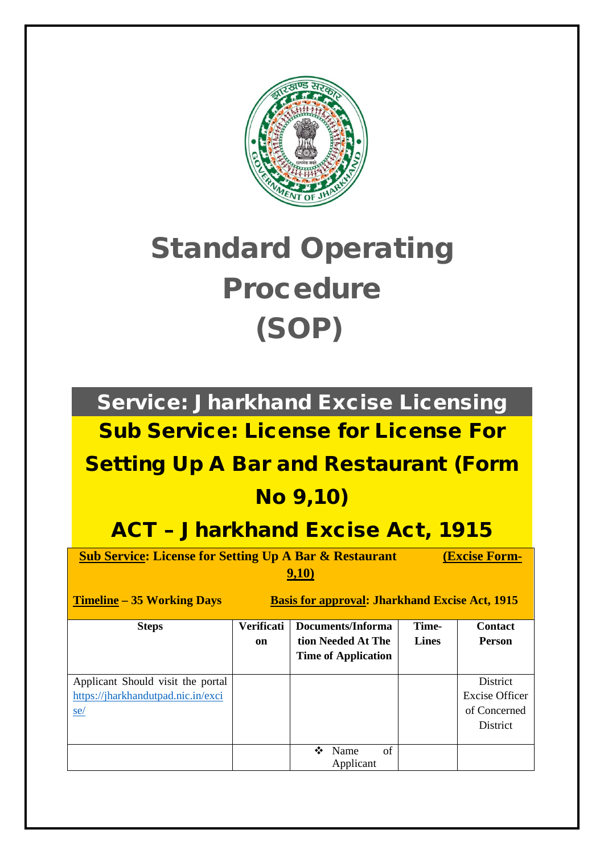

# Standard Operating Procedure (SOP)

Service: Jharkhand Excise Licensing Sub Service: License for License For

## Setting Up A Bar and Restaurant (Form

### No 9,10)

## ACT – Jharkhand Excise Act, 1915

**Sub Service: License for Setting Up A Bar & Restaurant (Excise Form-9,10)**

**Timeline** – 35 Working Days Basis for approval: Jharkhand Excise Act, 1915

| <b>Steps</b>                                                                          | <b>Verificati</b><br>on | Documents/Informa<br>tion Needed At The<br><b>Time of Application</b> | Time-<br><b>Lines</b> | <b>Contact</b><br><b>Person</b>                               |
|---------------------------------------------------------------------------------------|-------------------------|-----------------------------------------------------------------------|-----------------------|---------------------------------------------------------------|
| Applicant Should visit the portal<br>https://jharkhandutpad.nic.in/exci<br><u>se/</u> |                         |                                                                       |                       | District<br><b>Excise Officer</b><br>of Concerned<br>District |
|                                                                                       |                         | of<br>Name<br>❖<br>Applicant                                          |                       |                                                               |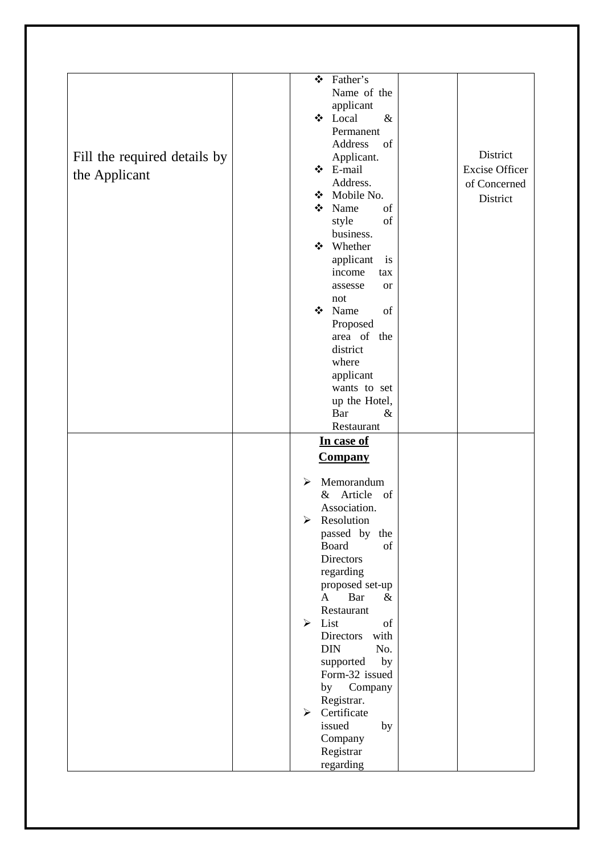| Fill the required details by<br>the Applicant | Father's<br>❖<br>Name of the<br>applicant<br>❖ Local<br>$\&$<br>Permanent<br>Address<br>of<br>Applicant.<br>❖ E-mail<br>Address.<br>Mobile No.<br>❖<br>❖<br>Name<br>of<br>style<br>of<br>business.<br>❖ Whether<br>applicant<br>is<br>income<br>tax<br>assesse<br><b>or</b><br>not<br>❖ Name<br>of<br>Proposed<br>area of the<br>district<br>where<br>applicant<br>wants to set<br>up the Hotel,<br>Bar<br>$\&$ | District<br><b>Excise Officer</b><br>of Concerned<br>District |
|-----------------------------------------------|-----------------------------------------------------------------------------------------------------------------------------------------------------------------------------------------------------------------------------------------------------------------------------------------------------------------------------------------------------------------------------------------------------------------|---------------------------------------------------------------|
|                                               | Restaurant<br>In case of                                                                                                                                                                                                                                                                                                                                                                                        |                                                               |
|                                               | <u>Company</u>                                                                                                                                                                                                                                                                                                                                                                                                  |                                                               |
|                                               | Memorandum<br>➤<br>$\&$<br>Article<br>of<br>Association.<br>$\triangleright$ Resolution<br>passed by the<br>Board<br>of<br>Directors<br>regarding<br>proposed set-up<br>$\mathbf{A}$<br>Bar<br>$\&$<br>Restaurant<br>List<br>➤<br>of<br><b>Directors</b><br>with<br><b>DIN</b><br>No.<br>supported<br>by                                                                                                        |                                                               |
|                                               | Form-32 issued<br>by Company<br>Registrar.<br>Certificate<br>➤<br>issued<br>by<br>Company<br>Registrar<br>regarding                                                                                                                                                                                                                                                                                             |                                                               |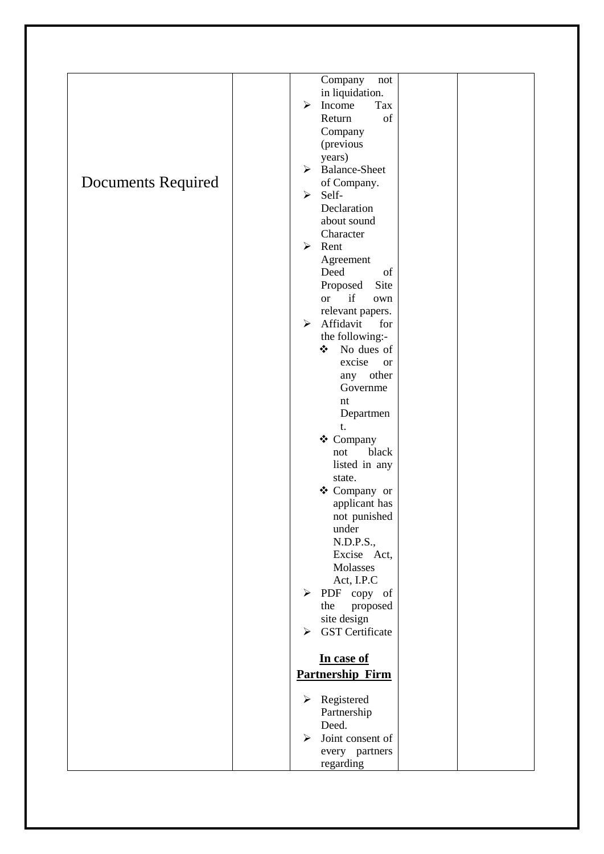|                           | Company<br>not                |
|---------------------------|-------------------------------|
|                           | in liquidation.               |
|                           | Income<br>➤<br>Tax            |
|                           | Return<br>of                  |
|                           | Company                       |
|                           | (previous                     |
|                           | years)                        |
|                           | <b>Balance-Sheet</b><br>≻     |
|                           |                               |
| <b>Documents Required</b> | of Company.                   |
|                           | Self-<br>➤                    |
|                           | Declaration                   |
|                           | about sound                   |
|                           | Character                     |
|                           | Rent<br>$\blacktriangleright$ |
|                           | Agreement                     |
|                           | Deed<br>of                    |
|                           | Proposed<br>Site              |
|                           | if<br><b>or</b><br>own        |
|                           |                               |
|                           | relevant papers.              |
|                           | Affidavit<br>➤<br>for         |
|                           | the following:-               |
|                           | No dues of<br>❖               |
|                           | excise<br><b>or</b>           |
|                           | any other                     |
|                           | Governme                      |
|                           | nt                            |
|                           | Departmen                     |
|                           | t.                            |
|                           | ❖ Company                     |
|                           |                               |
|                           | black<br>not                  |
|                           | listed in any                 |
|                           | state.                        |
|                           | ❖ Company or                  |
|                           | applicant has                 |
|                           | not punished                  |
|                           | under                         |
|                           | N.D.P.S.,                     |
|                           | Excise Act,                   |
|                           | Molasses                      |
|                           | Act, I.P.C                    |
|                           | $\blacktriangleright$         |
|                           | PDF copy of                   |
|                           | proposed<br>the               |
|                           | site design                   |
|                           | <b>GST</b> Certificate<br>≻   |
|                           |                               |
|                           | In case of                    |
|                           | <b>Partnership Firm</b>       |
|                           |                               |
|                           | ➤                             |
|                           | Registered                    |
|                           | Partnership                   |
|                           | Deed.                         |
|                           | Joint consent of<br>⋗         |
|                           | every partners                |
|                           | regarding                     |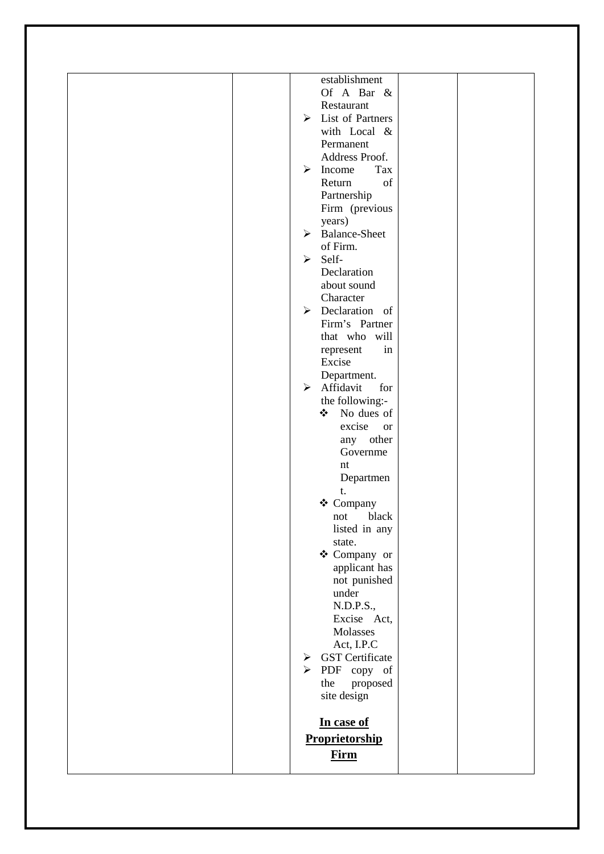| N.D.P.S.,<br>Excise Act,<br>Molasses<br>Act, I.P.C<br><b>GST</b> Certificate<br>➤<br>$\triangleright$ PDF copy of<br>the<br>proposed<br>site design<br>In case of<br>Proprietorship<br><b>Firm</b>                                                        |
|-----------------------------------------------------------------------------------------------------------------------------------------------------------------------------------------------------------------------------------------------------------|
| Governme<br>$\mathop{\hbox{\rm nt}}$<br>Departmen<br>t.<br>❖ Company<br>black<br>not<br>listed in any<br>state.<br>❖ Company or<br>applicant has<br>not punished<br>under                                                                                 |
| that who will<br>in<br>represent<br>Excise<br>Department.<br>$\triangleright$ Affidavit<br>for<br>the following:-<br>❖<br>No dues of<br>excise<br><b>or</b><br>any other                                                                                  |
| ➤<br>Income<br>of<br>Return<br>Partnership<br>Firm (previous<br>years)<br><b>Balance-Sheet</b><br>$\blacktriangleright$<br>of Firm.<br>Self-<br>$\blacktriangleright$<br>Declaration<br>about sound<br>Character<br>Declaration of<br>➤<br>Firm's Partner |
| establishment<br>Of A Bar $\&$<br>Restaurant<br>$\triangleright$ List of Partners<br>with Local &<br>Permanent<br>Address Proof.<br>Tax                                                                                                                   |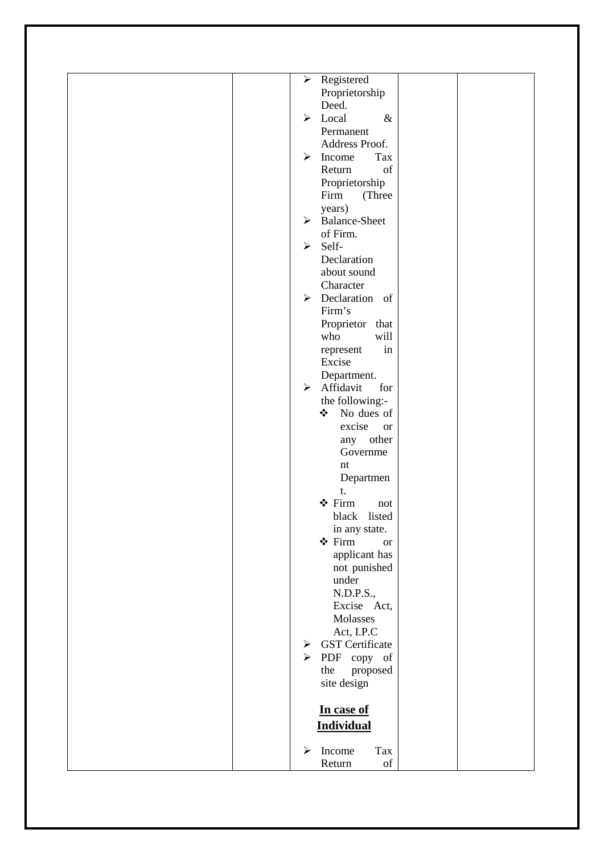| Registered<br>$\blacktriangleright$<br>Proprietorship<br>Deed.<br>Local<br>$\&$<br>$\blacktriangleright$<br>Permanent<br>Address Proof.<br>$\triangleright$ Income<br>Tax<br>of<br>Return<br>Proprietorship<br>Firm<br>(Three<br>years)<br><b>Balance-Sheet</b><br>≻<br>of Firm.<br>Self-<br>➤<br>Declaration<br>about sound<br>Character<br>$\triangleright$ Declaration of<br>Firm's<br>Proprietor that<br>who<br>will<br>in<br>represent<br>Excise<br>Department. |  |
|----------------------------------------------------------------------------------------------------------------------------------------------------------------------------------------------------------------------------------------------------------------------------------------------------------------------------------------------------------------------------------------------------------------------------------------------------------------------|--|
|                                                                                                                                                                                                                                                                                                                                                                                                                                                                      |  |
|                                                                                                                                                                                                                                                                                                                                                                                                                                                                      |  |
|                                                                                                                                                                                                                                                                                                                                                                                                                                                                      |  |
|                                                                                                                                                                                                                                                                                                                                                                                                                                                                      |  |
|                                                                                                                                                                                                                                                                                                                                                                                                                                                                      |  |
|                                                                                                                                                                                                                                                                                                                                                                                                                                                                      |  |
|                                                                                                                                                                                                                                                                                                                                                                                                                                                                      |  |
|                                                                                                                                                                                                                                                                                                                                                                                                                                                                      |  |
|                                                                                                                                                                                                                                                                                                                                                                                                                                                                      |  |
|                                                                                                                                                                                                                                                                                                                                                                                                                                                                      |  |
|                                                                                                                                                                                                                                                                                                                                                                                                                                                                      |  |
|                                                                                                                                                                                                                                                                                                                                                                                                                                                                      |  |
|                                                                                                                                                                                                                                                                                                                                                                                                                                                                      |  |
|                                                                                                                                                                                                                                                                                                                                                                                                                                                                      |  |
|                                                                                                                                                                                                                                                                                                                                                                                                                                                                      |  |
|                                                                                                                                                                                                                                                                                                                                                                                                                                                                      |  |
|                                                                                                                                                                                                                                                                                                                                                                                                                                                                      |  |
|                                                                                                                                                                                                                                                                                                                                                                                                                                                                      |  |
|                                                                                                                                                                                                                                                                                                                                                                                                                                                                      |  |
|                                                                                                                                                                                                                                                                                                                                                                                                                                                                      |  |
|                                                                                                                                                                                                                                                                                                                                                                                                                                                                      |  |
|                                                                                                                                                                                                                                                                                                                                                                                                                                                                      |  |
|                                                                                                                                                                                                                                                                                                                                                                                                                                                                      |  |
|                                                                                                                                                                                                                                                                                                                                                                                                                                                                      |  |
|                                                                                                                                                                                                                                                                                                                                                                                                                                                                      |  |
| $\triangleright$ Affidavit<br>for                                                                                                                                                                                                                                                                                                                                                                                                                                    |  |
| the following:-                                                                                                                                                                                                                                                                                                                                                                                                                                                      |  |
| ❖ No dues of                                                                                                                                                                                                                                                                                                                                                                                                                                                         |  |
| excise                                                                                                                                                                                                                                                                                                                                                                                                                                                               |  |
| <b>or</b>                                                                                                                                                                                                                                                                                                                                                                                                                                                            |  |
| any other                                                                                                                                                                                                                                                                                                                                                                                                                                                            |  |
| Governme                                                                                                                                                                                                                                                                                                                                                                                                                                                             |  |
| $\mathop{\hbox{\rm nt}}$                                                                                                                                                                                                                                                                                                                                                                                                                                             |  |
| Departmen                                                                                                                                                                                                                                                                                                                                                                                                                                                            |  |
| t.                                                                                                                                                                                                                                                                                                                                                                                                                                                                   |  |
| ❖ Firm<br>not                                                                                                                                                                                                                                                                                                                                                                                                                                                        |  |
| black listed                                                                                                                                                                                                                                                                                                                                                                                                                                                         |  |
| in any state.                                                                                                                                                                                                                                                                                                                                                                                                                                                        |  |
| ❖ Firm<br><b>or</b>                                                                                                                                                                                                                                                                                                                                                                                                                                                  |  |
| applicant has                                                                                                                                                                                                                                                                                                                                                                                                                                                        |  |
| not punished                                                                                                                                                                                                                                                                                                                                                                                                                                                         |  |
| under                                                                                                                                                                                                                                                                                                                                                                                                                                                                |  |
| N.D.P.S.,                                                                                                                                                                                                                                                                                                                                                                                                                                                            |  |
| Excise Act,                                                                                                                                                                                                                                                                                                                                                                                                                                                          |  |
| Molasses                                                                                                                                                                                                                                                                                                                                                                                                                                                             |  |
| Act, I.P.C                                                                                                                                                                                                                                                                                                                                                                                                                                                           |  |
| <b>GST</b> Certificate<br>➤                                                                                                                                                                                                                                                                                                                                                                                                                                          |  |
| PDF copy of<br>$\blacktriangleright$                                                                                                                                                                                                                                                                                                                                                                                                                                 |  |
| proposed<br>the                                                                                                                                                                                                                                                                                                                                                                                                                                                      |  |
| site design                                                                                                                                                                                                                                                                                                                                                                                                                                                          |  |
|                                                                                                                                                                                                                                                                                                                                                                                                                                                                      |  |
|                                                                                                                                                                                                                                                                                                                                                                                                                                                                      |  |
| In case of                                                                                                                                                                                                                                                                                                                                                                                                                                                           |  |
| <b>Individual</b>                                                                                                                                                                                                                                                                                                                                                                                                                                                    |  |
|                                                                                                                                                                                                                                                                                                                                                                                                                                                                      |  |
| Income<br>Tax<br>➤                                                                                                                                                                                                                                                                                                                                                                                                                                                   |  |
| Return<br>of                                                                                                                                                                                                                                                                                                                                                                                                                                                         |  |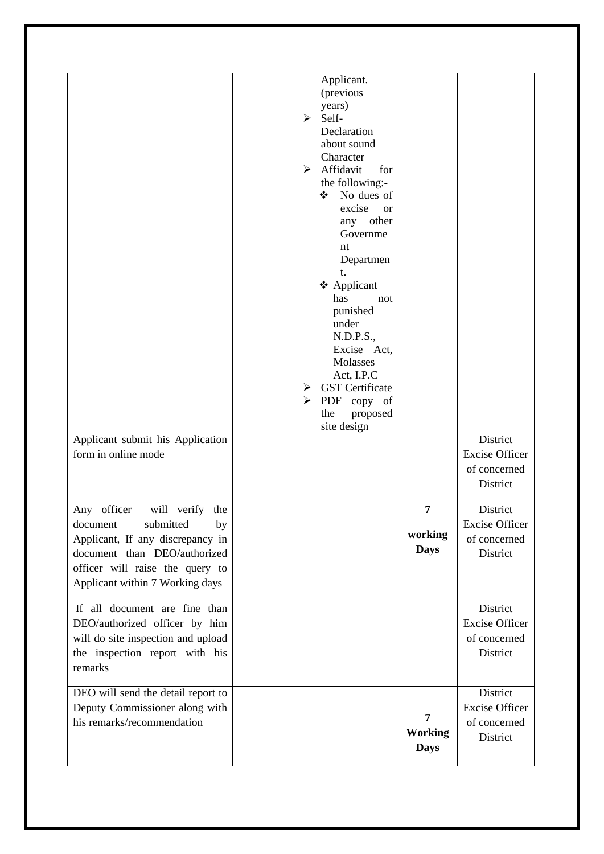| Applicant submit his Application<br>form in online mode                                                                                                                                                 | Applicant.<br>(previous<br>years)<br>Self-<br>➤<br>Declaration<br>about sound<br>Character<br>Affidavit<br>for<br>➤<br>the following:-<br>No dues of<br>❖<br>excise<br><b>or</b><br>any other<br>Governme<br>nt<br>Departmen<br>t.<br>❖ Applicant<br>has<br>not<br>punished<br>under<br>N.D.P.S.,<br>Excise Act,<br>Molasses<br>Act, I.P.C<br><b>GST</b> Certificate<br>➤<br>➤<br>PDF copy of<br>the<br>proposed<br>site design |                                          | District<br><b>Excise Officer</b>                             |
|---------------------------------------------------------------------------------------------------------------------------------------------------------------------------------------------------------|---------------------------------------------------------------------------------------------------------------------------------------------------------------------------------------------------------------------------------------------------------------------------------------------------------------------------------------------------------------------------------------------------------------------------------|------------------------------------------|---------------------------------------------------------------|
|                                                                                                                                                                                                         |                                                                                                                                                                                                                                                                                                                                                                                                                                 |                                          | of concerned<br>District                                      |
| Any officer<br>will verify the<br>document<br>submitted<br>by<br>Applicant, If any discrepancy in<br>document than DEO/authorized<br>officer will raise the query to<br>Applicant within 7 Working days |                                                                                                                                                                                                                                                                                                                                                                                                                                 | $\overline{7}$<br>working<br><b>Days</b> | District<br><b>Excise Officer</b><br>of concerned<br>District |
| If all document are fine than<br>DEO/authorized officer by him<br>will do site inspection and upload<br>the inspection report with his<br>remarks                                                       |                                                                                                                                                                                                                                                                                                                                                                                                                                 |                                          | District<br><b>Excise Officer</b><br>of concerned<br>District |
| DEO will send the detail report to<br>Deputy Commissioner along with<br>his remarks/recommendation                                                                                                      |                                                                                                                                                                                                                                                                                                                                                                                                                                 | 7<br><b>Working</b><br><b>Days</b>       | District<br><b>Excise Officer</b><br>of concerned<br>District |